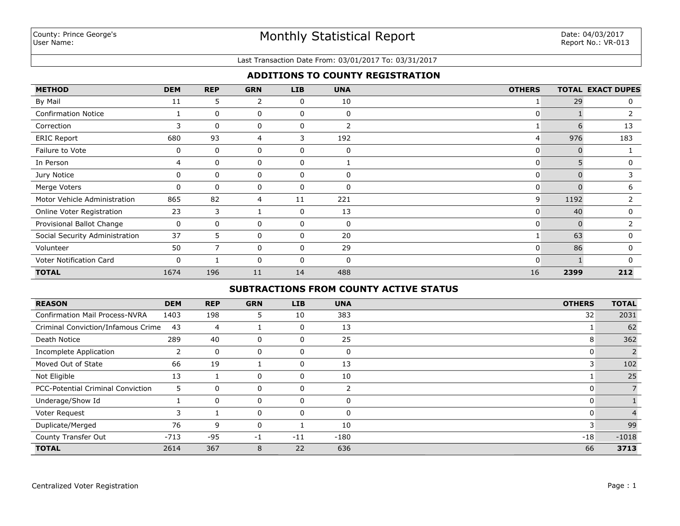### Last Transaction Date From: 03/01/2017 To: 03/31/2017

# **ADDITIONS TO COUNTY REGISTRATION**

| <b>METHOD</b>                  | <b>DEM</b> | <b>REP</b>   | <b>GRN</b>     | <b>LIB</b>  | <b>UNA</b>   | <b>OTHERS</b> |      | <b>TOTAL EXACT DUPES</b> |
|--------------------------------|------------|--------------|----------------|-------------|--------------|---------------|------|--------------------------|
| By Mail                        | 11         | 5            | $\overline{2}$ | 0           | 10           |               | 29   | 0                        |
| <b>Confirmation Notice</b>     |            | $\mathbf{0}$ | 0              | $\mathbf 0$ | 0            | $\mathbf{0}$  |      |                          |
| Correction                     | 3          | 0            | 0              | 0           | 2            |               | 6    | 13                       |
| <b>ERIC Report</b>             | 680        | 93           | 4              | 3           | 192          | 4             | 976  | 183                      |
| Failure to Vote                | 0          | $\mathbf{0}$ | 0              | 0           | $\mathbf{0}$ | 0             |      |                          |
| In Person                      | 4          | $\Omega$     | 0              | 0           |              | 0             |      | 0                        |
| Jury Notice                    | 0          | $\Omega$     | 0              | 0           | n            | 0             |      | 3                        |
| Merge Voters                   | 0          | 0            | 0              | 0           | $\Omega$     | 0             |      | 6                        |
| Motor Vehicle Administration   | 865        | 82           | 4              | 11          | 221          | 9             | 1192 | 2                        |
| Online Voter Registration      | 23         | 3            |                | 0           | 13           | 0             | 40   | 0                        |
| Provisional Ballot Change      | 0          | 0            | 0              | 0           | 0            | 0             |      |                          |
| Social Security Administration | 37         | 5.           | 0              | 0           | 20           |               | 63   | 0                        |
| Volunteer                      | 50         |              | 0              | 0           | 29           | 0             | 86   | 0                        |
| Voter Notification Card        | 0          |              | 0              | 0           | 0            | 0             |      | O                        |
| <b>TOTAL</b>                   | 1674       | 196          | 11             | 14          | 488          | 16            | 2399 | 212                      |

# **SUBTRACTIONS FROM COUNTY ACTIVE STATUS**

| <b>REASON</b>                            | <b>DEM</b> | <b>REP</b>  | <b>GRN</b>   | LIB   | <b>UNA</b>  | <b>OTHERS</b> | <b>TOTAL</b> |
|------------------------------------------|------------|-------------|--------------|-------|-------------|---------------|--------------|
| <b>Confirmation Mail Process-NVRA</b>    | 1403       | 198         | 5.           | 10    | 383         | 32            | 2031         |
| Criminal Conviction/Infamous Crime       | 43         | 4           |              | 0     | 13          |               | 62           |
| Death Notice                             | 289        | 40          | 0            | 0     | 25          | 8             | 362          |
| Incomplete Application                   |            | $\mathbf 0$ | 0            | 0     | $\mathbf 0$ |               |              |
| Moved Out of State                       | 66         | 19          |              | 0     | 13          | 3             | 102          |
| Not Eligible                             | 13         |             | 0            | 0     | 10          |               | 25           |
| <b>PCC-Potential Criminal Conviction</b> | 5          | $\mathbf 0$ | 0            | 0     |             | U             |              |
| Underage/Show Id                         |            | $\mathbf 0$ | 0            | 0     | $\Omega$    | 0             |              |
| Voter Request                            | 3          |             | 0            | 0     | $\Omega$    | 0             |              |
| Duplicate/Merged                         | 76         | 9           | $\mathbf{0}$ |       | 10          | 3             | 99           |
| County Transfer Out                      | $-713$     | -95         | -1           | $-11$ | $-180$      | $-18$         | $-1018$      |
| <b>TOTAL</b>                             | 2614       | 367         | 8            | 22    | 636         | 66            | 3713         |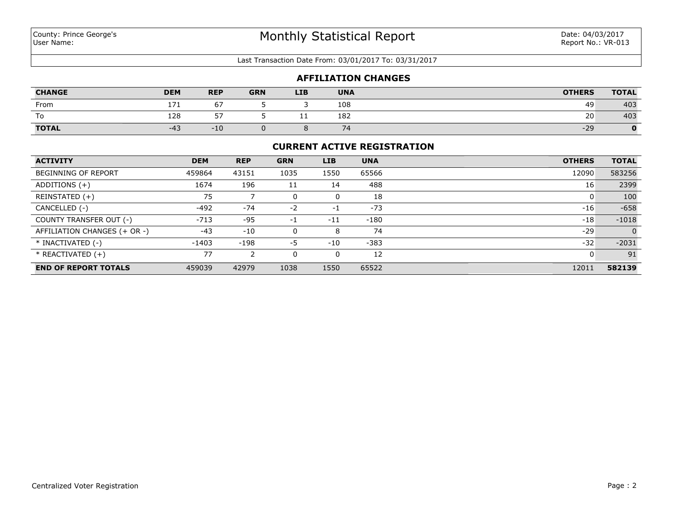**CHANGE**

### Last Transaction Date From: 03/01/2017 To: 03/31/2017

|                      |            |                          |        | <b>AFFILIATION CHANGES</b> |               |             |
|----------------------|------------|--------------------------|--------|----------------------------|---------------|-------------|
| <b>DEM</b>           | <b>REP</b> | <b>GRN</b>               | LIB    | <b>UNA</b>                 | <b>OTHERS</b> | TOTAL       |
| $\sim$ $\sim$ $\sim$ | $ -$       | $\overline{\phantom{0}}$ | $\sim$ | $\sim$ $\sim$ $\sim$       | $\sim$ $\sim$ | $\sim$ $ -$ |

| From         | $-1$ $-7$     | $-$            |     | 108                  | 49    | 403 |
|--------------|---------------|----------------|-----|----------------------|-------|-----|
| To           | 128<br>$\sim$ | --             | - - | 182                  | 20    | 403 |
| <b>TOTAL</b> | -4            | $\overline{1}$ |     | -<br>$\cdot$ $\cdot$ | $-29$ |     |

### **CURRENT ACTIVE REGISTRATION**

| <b>ACTIVITY</b>              | <b>DEM</b> | <b>REP</b> | <b>GRN</b> | <b>LIB</b> | <b>UNA</b> | <b>OTHERS</b> | <b>TOTAL</b> |
|------------------------------|------------|------------|------------|------------|------------|---------------|--------------|
| <b>BEGINNING OF REPORT</b>   | 459864     | 43151      | 1035       | 1550       | 65566      | 12090         | 583256       |
| ADDITIONS $(+)$              | 1674       | 196        | 11         | 14         | 488        | 16            | 2399         |
| REINSTATED (+)               | 75         |            |            | 0          | 18         |               | 100          |
| CANCELLED (-)                | $-492$     | $-74$      | $-2$       | $-1$       | $-73$      | $-16$         | $-658$       |
| COUNTY TRANSFER OUT (-)      | $-713$     | -95        | -1         | $-11$      | $-180$     | $-18$         | $-1018$      |
| AFFILIATION CHANGES (+ OR -) | $-43$      | $-10$      |            | 8          | 74         | $-29$         | $\Omega$     |
| * INACTIVATED (-)            | $-1403$    | $-198$     | -5         | $-10$      | $-383$     | $-32$         | $-2031$      |
| $*$ REACTIVATED $(+)$        | 77         | ົາ         |            | 0          | 12         | 0             | 91           |
| <b>END OF REPORT TOTALS</b>  | 459039     | 42979      | 1038       | 1550       | 65522      | 12011         | 582139       |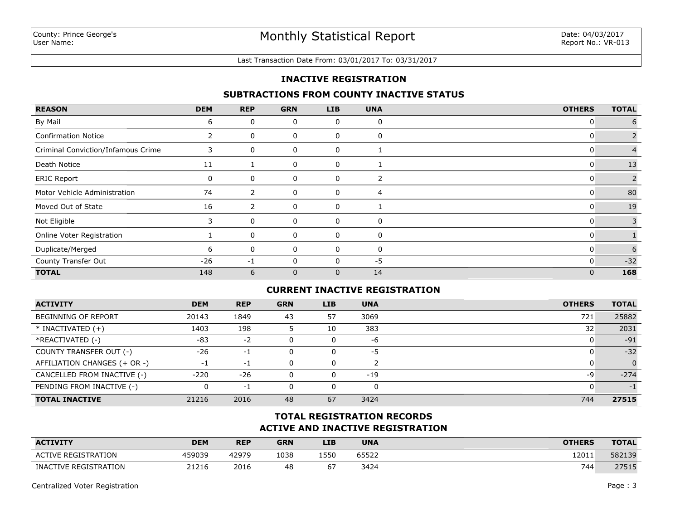#### Last Transaction Date From: 03/01/2017 To: 03/31/2017

## **INACTIVE REGISTRATION**

## **SUBTRACTIONS FROM COUNTY INACTIVE STATUS**

| <b>REASON</b>                      | <b>DEM</b> | <b>REP</b> | <b>GRN</b>   | <b>LIB</b> | <b>UNA</b> | <b>OTHERS</b>  | <b>TOTAL</b> |
|------------------------------------|------------|------------|--------------|------------|------------|----------------|--------------|
| By Mail                            | 6          | 0          | 0            | 0          | 0          | 0              | 6            |
| <b>Confirmation Notice</b>         |            | 0          | 0            | 0          | 0          | U              |              |
| Criminal Conviction/Infamous Crime | 3          | 0          | 0            | 0          |            | 0              |              |
| Death Notice                       | 11         |            | 0            | 0          |            | 0              | 13           |
| <b>ERIC Report</b>                 | 0          | 0          | 0            | 0          | 2          | 0              |              |
| Motor Vehicle Administration       | 74         | 2          | 0            | 0          | 4          | 0              | 80           |
| Moved Out of State                 | 16         | 2          | 0            | 0          |            | 0              | 19           |
| Not Eligible                       | 3          | 0          | 0            | 0          | 0          | 0              | 3            |
| Online Voter Registration          |            | 0          | 0            | 0          | 0          | C              |              |
| Duplicate/Merged                   | 6          | 0          | 0            | 0          | 0          | 0              | 6            |
| County Transfer Out                | $-26$      | -1         | $\mathbf{0}$ |            | $-5$       | 0              | $-32$        |
| <b>TOTAL</b>                       | 148        | 6          | $\mathbf{0}$ | 0          | 14         | $\overline{0}$ | 168          |

## **CURRENT INACTIVE REGISTRATION**

| <b>ACTIVITY</b>              | <b>DEM</b> | <b>REP</b> | <b>GRN</b> | <b>LIB</b> | <b>UNA</b> | <b>OTHERS</b> | <b>TOTAL</b> |
|------------------------------|------------|------------|------------|------------|------------|---------------|--------------|
| BEGINNING OF REPORT          | 20143      | 1849       | 43         | 57         | 3069       | 721           | 25882        |
| $*$ INACTIVATED $(+)$        | 1403       | 198        |            | 10         | 383        | 32            | 2031         |
| *REACTIVATED (-)             | $-83$      | $-2$       |            | 0          | -6         |               | $-91$        |
| COUNTY TRANSFER OUT (-)      | $-26$      | -1         |            | 0          | -5         |               | $-32$        |
| AFFILIATION CHANGES (+ OR -) | - 1        | $-1$       |            | 0          |            |               | $\Omega$     |
| CANCELLED FROM INACTIVE (-)  | $-220$     | $-26$      |            | 0          | $-19$      | -9            | $-274$       |
| PENDING FROM INACTIVE (-)    | 0          | $-1$       |            | 0          |            |               | $-1$         |
| <b>TOTAL INACTIVE</b>        | 21216      | 2016       | 48         | 67         | 3424       | 744           | 27515        |

# **ACTIVE AND INACTIVE REGISTRATION TOTAL REGISTRATION RECORDS**

| <b>ACTIVITY</b>            | DEM    | <b>REP</b> | <b>GRN</b> | LIB  | <b>UNA</b> | <b>OTHERS</b> | <b>TOTAL</b>      |
|----------------------------|--------|------------|------------|------|------------|---------------|-------------------|
| <b>ACTIVE REGISTRATION</b> | 459039 | 42979      | 1038       | 1550 | 65522      | 12011         | 582139            |
| INACTIVE REGISTRATION      | 21216  | 2016       | 48         | ь.   | 3424       | 744           | 77515<br>27 J L J |